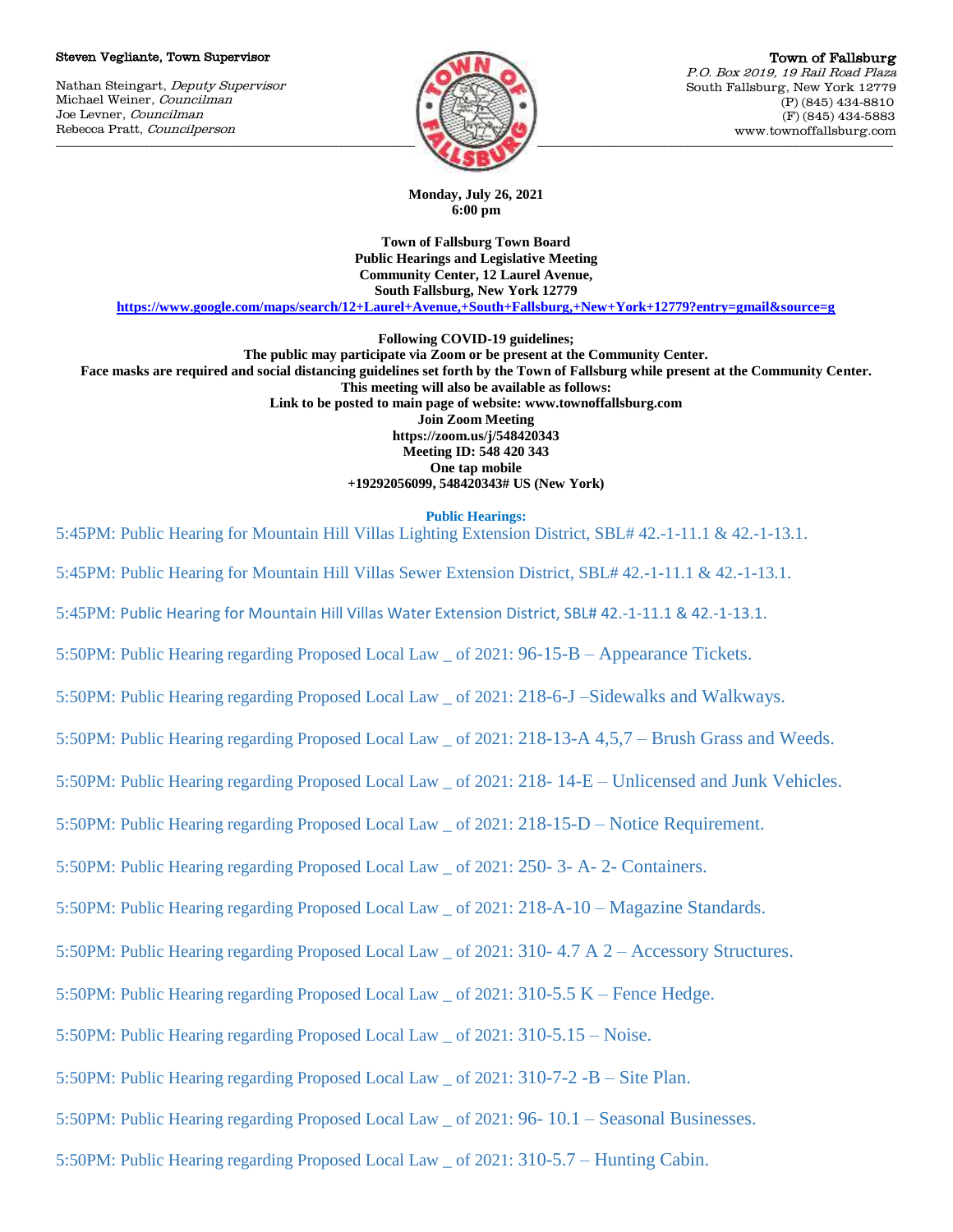#### Steven Vegliante, Town Supervisor

Nathan Steingart, Deputy Supervisor Michael Weiner, Councilman Joe Levner, Councilman Rebecca Pratt, Councilperson



**Monday, July 26, 2021 6:00 pm**

**Town of Fallsburg Town Board Public Hearings and Legislative Meeting Community Center, 12 Laurel Avenue, South Fallsburg, New York 12779**

**<https://www.google.com/maps/search/12+Laurel+Avenue,+South+Fallsburg,+New+York+12779?entry=gmail&source=g>**

**Following COVID-19 guidelines; The public may participate via Zoom or be present at the Community Center. Face masks are required and social distancing guidelines set forth by the Town of Fallsburg while present at the Community Center. This meeting will also be available as follows: Link to be posted to main page of website: www.townoffallsburg.com Join Zoom Meeting https://zoom.us/j/548420343 Meeting ID: 548 420 343 One tap mobile +19292056099, 548420343# US (New York)**

**Public Hearings:**

5:45PM: Public Hearing for Mountain Hill Villas Lighting Extension District, SBL# 42.-1-11.1 & 42.-1-13.1.

5:45PM: Public Hearing for Mountain Hill Villas Sewer Extension District, SBL# 42.-1-11.1 & 42.-1-13.1.

5:45PM: Public Hearing for Mountain Hill Villas Water Extension District, SBL# 42.-1-11.1 & 42.-1-13.1.

5:50PM: Public Hearing regarding Proposed Local Law \_ of 2021: 96-15-B – Appearance Tickets.

5:50PM: Public Hearing regarding Proposed Local Law \_ of 2021: 218-6-J –Sidewalks and Walkways.

5:50PM: Public Hearing regarding Proposed Local Law \_ of 2021: 218-13-A 4,5,7 – Brush Grass and Weeds.

5:50PM: Public Hearing regarding Proposed Local Law \_ of 2021: 218- 14-E – Unlicensed and Junk Vehicles.

5:50PM: Public Hearing regarding Proposed Local Law \_ of 2021: 218-15-D – Notice Requirement.

5:50PM: Public Hearing regarding Proposed Local Law \_ of 2021: 250- 3- A- 2- Containers.

5:50PM: Public Hearing regarding Proposed Local Law \_ of 2021: 218-A-10 – Magazine Standards.

5:50PM: Public Hearing regarding Proposed Local Law \_ of 2021: 310- 4.7 A 2 – Accessory Structures.

5:50PM: Public Hearing regarding Proposed Local Law \_ of 2021: 310-5.5 K – Fence Hedge.

5:50PM: Public Hearing regarding Proposed Local Law \_ of 2021: 310-5.15 – Noise.

5:50PM: Public Hearing regarding Proposed Local Law \_ of 2021: 310-7-2 -B – Site Plan.

5:50PM: Public Hearing regarding Proposed Local Law \_ of 2021: 96- 10.1 – Seasonal Businesses.

5:50PM: Public Hearing regarding Proposed Local Law \_ of 2021: 310-5.7 – Hunting Cabin.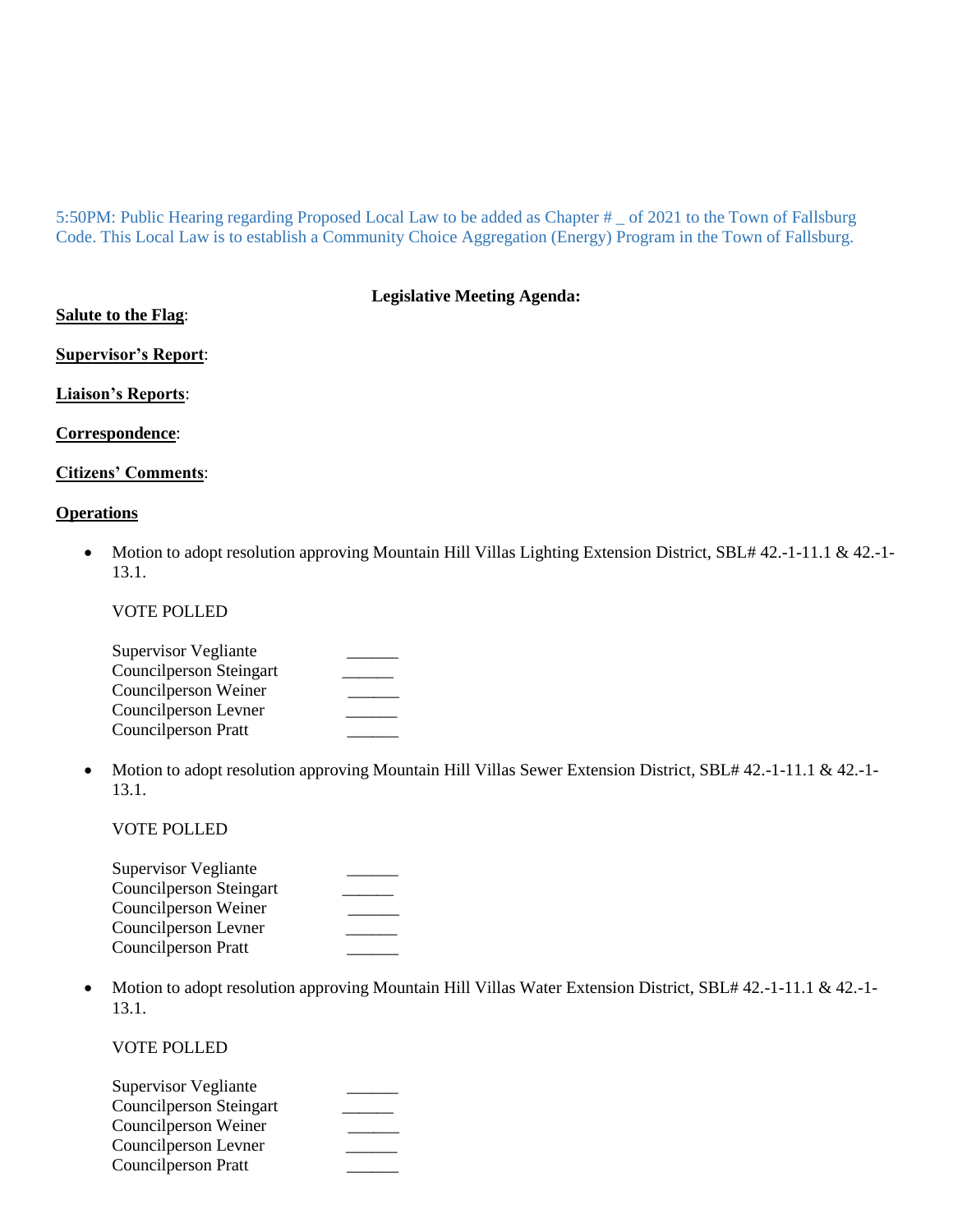5:50PM: Public Hearing regarding Proposed Local Law to be added as Chapter # \_ of 2021 to the Town of Fallsburg Code. This Local Law is to establish a Community Choice Aggregation (Energy) Program in the Town of Fallsburg.

**Legislative Meeting Agenda:**

| <b>Salute to the Flag:</b>  |
|-----------------------------|
| <b>Supervisor's Report:</b> |
| <b>Liaison's Reports:</b>   |
| Correspondence:             |

# **Citizens' Comments**:

## **Operations**

 Motion to adopt resolution approving Mountain Hill Villas Lighting Extension District, SBL# 42.-1-11.1 & 42.-1- 13.1.

VOTE POLLED

| <b>Supervisor Vegliante</b>    |  |
|--------------------------------|--|
| <b>Councilperson Steingart</b> |  |
| Councilperson Weiner           |  |
| Councilperson Levner           |  |
| <b>Councilperson Pratt</b>     |  |

• Motion to adopt resolution approving Mountain Hill Villas Sewer Extension District, SBL# 42.-1-11.1 & 42.-1-13.1.

# VOTE POLLED

| <b>Supervisor Vegliante</b>    |  |
|--------------------------------|--|
| <b>Councilperson Steingart</b> |  |
| Councilperson Weiner           |  |
| Councilperson Levner           |  |
| <b>Councilperson Pratt</b>     |  |

• Motion to adopt resolution approving Mountain Hill Villas Water Extension District, SBL# 42.-1-11.1 & 42.-1-13.1.

# VOTE POLLED

| <b>Supervisor Vegliante</b> |  |
|-----------------------------|--|
| Councilperson Steingart     |  |
| Councilperson Weiner        |  |
| Councilperson Levner        |  |
| <b>Councilperson Pratt</b>  |  |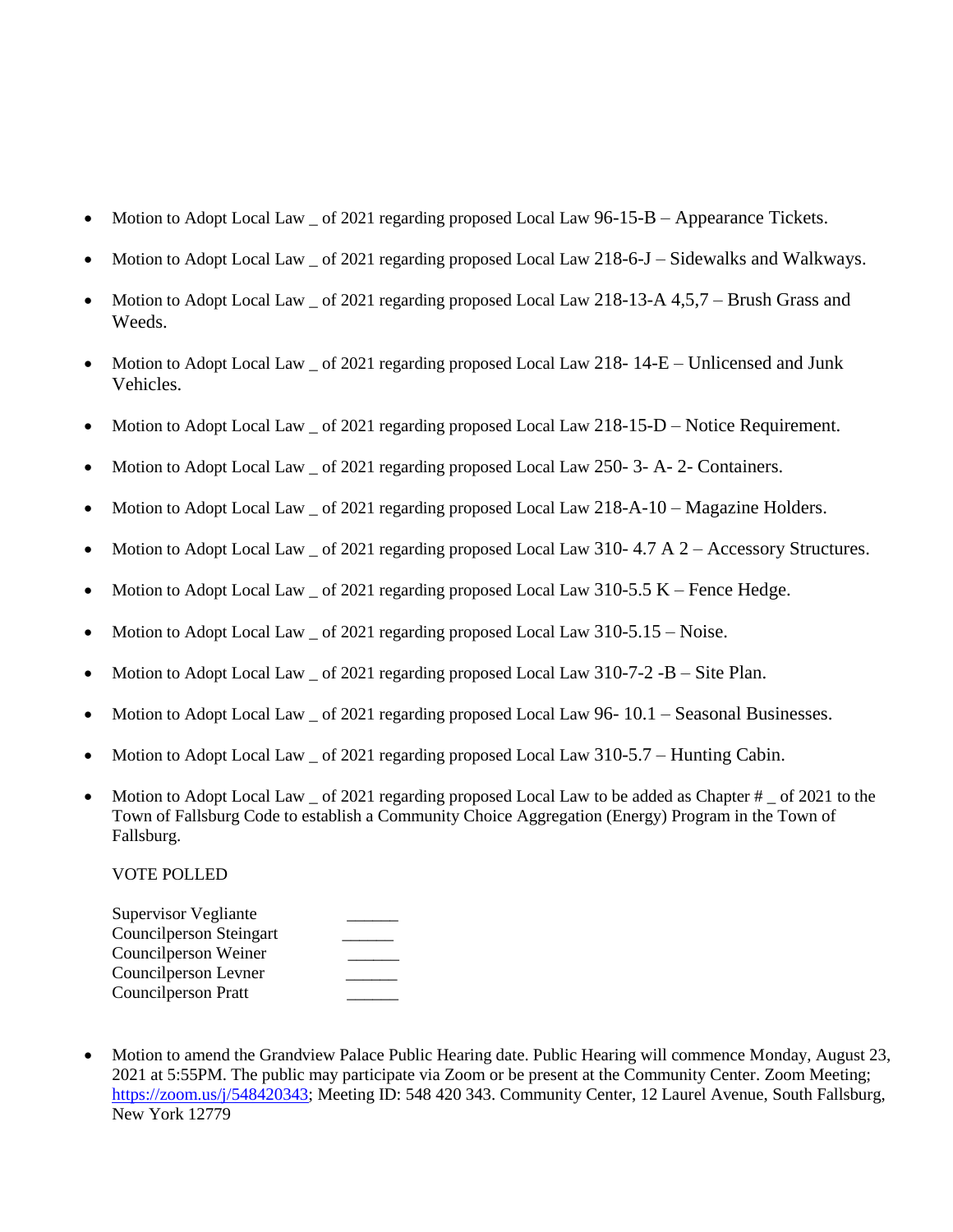- Motion to Adopt Local Law  $\sigma$  6 2021 regarding proposed Local Law 96-15-B Appearance Tickets.
- Motion to Adopt Local Law of 2021 regarding proposed Local Law 218-6-J Sidewalks and Walkways.
- Motion to Adopt Local Law \_ of 2021 regarding proposed Local Law 218-13-A 4,5,7 Brush Grass and Weeds.
- Motion to Adopt Local Law  $\alpha$  of 2021 regarding proposed Local Law 218- 14-E Unlicensed and Junk Vehicles.
- Motion to Adopt Local Law \_ of 2021 regarding proposed Local Law 218-15-D Notice Requirement.
- Motion to Adopt Local Law of 2021 regarding proposed Local Law 250- 3- A- 2- Containers.
- Motion to Adopt Local Law of 2021 regarding proposed Local Law  $218-A-10-Ma$  gazine Holders.
- Motion to Adopt Local Law \_ of 2021 regarding proposed Local Law 310-4.7 A 2 Accessory Structures.
- Motion to Adopt Local Law \_ of 2021 regarding proposed Local Law 310-5.5 K Fence Hedge.
- Motion to Adopt Local Law \_ of 2021 regarding proposed Local Law 310-5.15 Noise.
- $\bullet$  Motion to Adopt Local Law  $\circ$  of 2021 regarding proposed Local Law 310-7-2 -B  $\circ$  Site Plan.
- Motion to Adopt Local Law \_ of 2021 regarding proposed Local Law 96- 10.1 Seasonal Businesses.
- Motion to Adopt Local Law of 2021 regarding proposed Local Law 310-5.7 Hunting Cabin.
- Motion to Adopt Local Law of 2021 regarding proposed Local Law to be added as Chapter # of 2021 to the Town of Fallsburg Code to establish a Community Choice Aggregation (Energy) Program in the Town of Fallsburg.

#### VOTE POLLED

| <b>Supervisor Vegliante</b> |  |
|-----------------------------|--|
| Councilperson Steingart     |  |
| Councilperson Weiner        |  |
| Councilperson Levner        |  |
| <b>Councilperson Pratt</b>  |  |

 Motion to amend the Grandview Palace Public Hearing date. Public Hearing will commence Monday, August 23, 2021 at 5:55PM. The public may participate via Zoom or be present at the Community Center. Zoom Meeting; [https://zoom.us/j/548420343;](https://zoom.us/j/548420343) Meeting ID: 548 420 343. Community Center, 12 Laurel Avenue, South Fallsburg, New York 12779